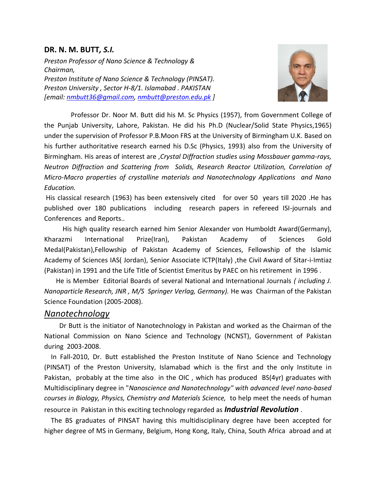## **DR. N. M. BUTT***, S.I.*

*Preston Professor of Nano Science & Technology & Chairman, Preston Institute of Nano Science & Technology (PINSAT). Preston University , Sector H-8/1. Islamabad . PAKISTAN [email: [nmbutt36@gmail.com,](mailto:nmbutt36@gmail.com) [nmbutt@preston.edu.pk](mailto:nmbutt@preston.edu.pk) ]*



 Professor Dr. Noor M. Butt did his M. Sc Physics (1957), from Government College of the Punjab University, Lahore, Pakistan. He did his Ph.D (Nuclear/Solid State Physics,1965) under the supervision of Professor P.B.Moon FRS at the University of Birmingham U.K. Based on his further authoritative research earned his D.Sc (Physics, 1993) also from the University of Birmingham. His areas of interest are ,*Crystal Diffraction studies using Mossbauer gamma-rays, Neutron Diffraction and Scattering from Solids, Research Reactor Utilization, Correlation of Micro-Macro properties of crystalline materials and Nanotechnology Applications and Nano Education.*

His classical research (1963) has been extensively cited for over 50 years till 2020 .He has published over 180 publications including research papers in refereed ISI-journals and Conferences and Reports..

 His high quality research earned him Senior Alexander von Humboldt Award(Germany), Kharazmi International Prize(Iran), Pakistan Academy of Sciences Gold Medal(Pakistan),Fellowship of Pakistan Academy of Sciences, Fellowship of the Islamic Academy of Sciences IAS( Jordan), Senior Associate ICTP(Italy) ,the Civil Award of Sitar-i-Imtiaz (Pakistan) in 1991 and the Life Title of Scientist Emeritus by PAEC on his retirement in 1996 .

 He is Member Editorial Boards of several National and International Journals *( including J. Nanoparticle Research, JNR , M/S Springer Verlag, Germany).* He was Chairman of the Pakistan Science Foundation (2005-2008).

## *Nanotechnology*

 Dr Butt is the initiator of Nanotechnology in Pakistan and worked as the Chairman of the National Commission on Nano Science and Technology (NCNST), Government of Pakistan during 2003-2008.

 In Fall-2010, Dr. Butt established the Preston Institute of Nano Science and Technology (PINSAT) of the Preston University, Islamabad which is the first and the only Institute in Pakistan, probably at the time also in the OIC , which has produced BS(4yr) graduates with Multidisciplinary degree in "*Nanoscience and Nanotechnology" with advanced level nano-based courses in Biology, Physics, Chemistry and Materials Science,* to help meet the needs of human resource in Pakistan in this exciting technology regarded as *Industrial Revolution* .

 The BS graduates of PINSAT having this multidisciplinary degree have been accepted for higher degree of MS in Germany, Belgium, Hong Kong, Italy, China, South Africa abroad and at